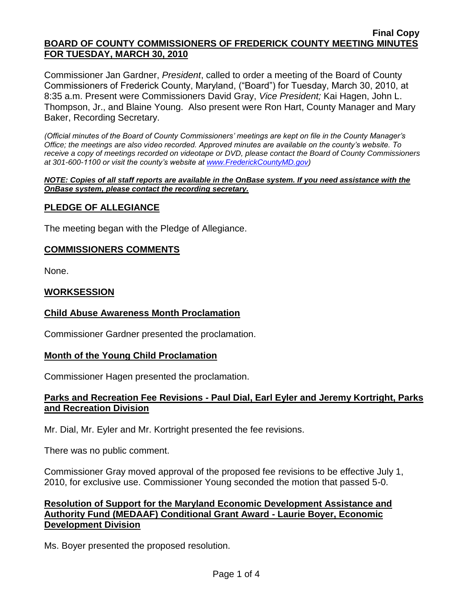#### **Final Copy BOARD OF COUNTY COMMISSIONERS OF FREDERICK COUNTY MEETING MINUTES FOR TUESDAY, MARCH 30, 2010**

Commissioner Jan Gardner, *President*, called to order a meeting of the Board of County Commissioners of Frederick County, Maryland, ("Board") for Tuesday, March 30, 2010, at 8:35 a.m. Present were Commissioners David Gray, *Vice President;* Kai Hagen, John L. Thompson, Jr., and Blaine Young. Also present were Ron Hart, County Manager and Mary Baker, Recording Secretary.

*(Official minutes of the Board of County Commissioners' meetings are kept on file in the County Manager's Office; the meetings are also video recorded. Approved minutes are available on the county's website. To receive a copy of meetings recorded on videotape or DVD, please contact the Board of County Commissioners at 301-600-1100 or visit the county's website at [www.FrederickCountyMD.gov\)](http://www.frederickcountymd.gov/)*

#### *NOTE: Copies of all staff reports are available in the OnBase system. If you need assistance with the OnBase system, please contact the recording secretary.*

# **PLEDGE OF ALLEGIANCE**

The meeting began with the Pledge of Allegiance.

# **COMMISSIONERS COMMENTS**

None.

# **WORKSESSION**

# **Child Abuse Awareness Month Proclamation**

Commissioner Gardner presented the proclamation.

# **Month of the Young Child Proclamation**

Commissioner Hagen presented the proclamation.

# **Parks and Recreation Fee Revisions - Paul Dial, Earl Eyler and Jeremy Kortright, Parks and Recreation Division**

Mr. Dial, Mr. Eyler and Mr. Kortright presented the fee revisions.

There was no public comment.

Commissioner Gray moved approval of the proposed fee revisions to be effective July 1, 2010, for exclusive use. Commissioner Young seconded the motion that passed 5-0.

# **Resolution of Support for the Maryland Economic Development Assistance and Authority Fund (MEDAAF) Conditional Grant Award - Laurie Boyer, Economic Development Division**

Ms. Boyer presented the proposed resolution.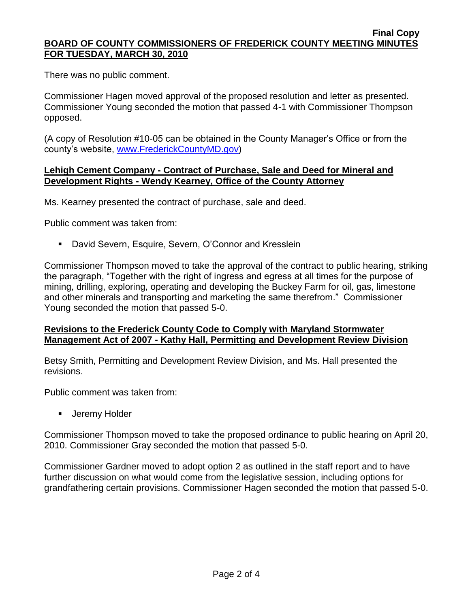#### **Final Copy BOARD OF COUNTY COMMISSIONERS OF FREDERICK COUNTY MEETING MINUTES FOR TUESDAY, MARCH 30, 2010**

There was no public comment.

Commissioner Hagen moved approval of the proposed resolution and letter as presented. Commissioner Young seconded the motion that passed 4-1 with Commissioner Thompson opposed.

(A copy of Resolution #10-05 can be obtained in the County Manager's Office or from the county's website, [www.FrederickCountyMD.gov\)](http://www.frederickcountymd.gov/)

### **Lehigh Cement Company - Contract of Purchase, Sale and Deed for Mineral and Development Rights - Wendy Kearney, Office of the County Attorney**

Ms. Kearney presented the contract of purchase, sale and deed.

Public comment was taken from:

David Severn, Esquire, Severn, O'Connor and Kresslein

Commissioner Thompson moved to take the approval of the contract to public hearing, striking the paragraph, "Together with the right of ingress and egress at all times for the purpose of mining, drilling, exploring, operating and developing the Buckey Farm for oil, gas, limestone and other minerals and transporting and marketing the same therefrom." Commissioner Young seconded the motion that passed 5-0.

# **Revisions to the Frederick County Code to Comply with Maryland Stormwater Management Act of 2007 - Kathy Hall, Permitting and Development Review Division**

Betsy Smith, Permitting and Development Review Division, and Ms. Hall presented the revisions.

Public comment was taken from:

**Jeremy Holder** 

Commissioner Thompson moved to take the proposed ordinance to public hearing on April 20, 2010. Commissioner Gray seconded the motion that passed 5-0.

Commissioner Gardner moved to adopt option 2 as outlined in the staff report and to have further discussion on what would come from the legislative session, including options for grandfathering certain provisions. Commissioner Hagen seconded the motion that passed 5-0.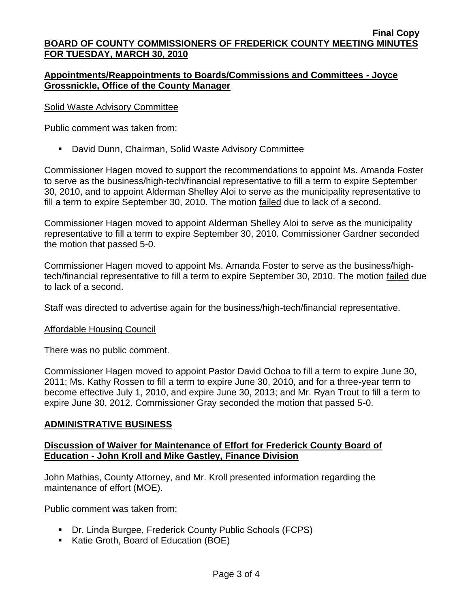#### **Final Copy BOARD OF COUNTY COMMISSIONERS OF FREDERICK COUNTY MEETING MINUTES FOR TUESDAY, MARCH 30, 2010**

# **Appointments/Reappointments to Boards/Commissions and Committees - Joyce Grossnickle, Office of the County Manager**

# Solid Waste Advisory Committee

Public comment was taken from:

David Dunn, Chairman, Solid Waste Advisory Committee

Commissioner Hagen moved to support the recommendations to appoint Ms. Amanda Foster to serve as the business/high-tech/financial representative to fill a term to expire September 30, 2010, and to appoint Alderman Shelley Aloi to serve as the municipality representative to fill a term to expire September 30, 2010. The motion failed due to lack of a second.

Commissioner Hagen moved to appoint Alderman Shelley Aloi to serve as the municipality representative to fill a term to expire September 30, 2010. Commissioner Gardner seconded the motion that passed 5-0.

Commissioner Hagen moved to appoint Ms. Amanda Foster to serve as the business/hightech/financial representative to fill a term to expire September 30, 2010. The motion failed due to lack of a second.

Staff was directed to advertise again for the business/high-tech/financial representative.

### Affordable Housing Council

There was no public comment.

Commissioner Hagen moved to appoint Pastor David Ochoa to fill a term to expire June 30, 2011; Ms. Kathy Rossen to fill a term to expire June 30, 2010, and for a three-year term to become effective July 1, 2010, and expire June 30, 2013; and Mr. Ryan Trout to fill a term to expire June 30, 2012. Commissioner Gray seconded the motion that passed 5-0.

# **ADMINISTRATIVE BUSINESS**

### **Discussion of Waiver for Maintenance of Effort for Frederick County Board of Education - John Kroll and Mike Gastley, Finance Division**

John Mathias, County Attorney, and Mr. Kroll presented information regarding the maintenance of effort (MOE).

Public comment was taken from:

- Dr. Linda Burgee, Frederick County Public Schools (FCPS)
- Katie Groth, Board of Education (BOE)